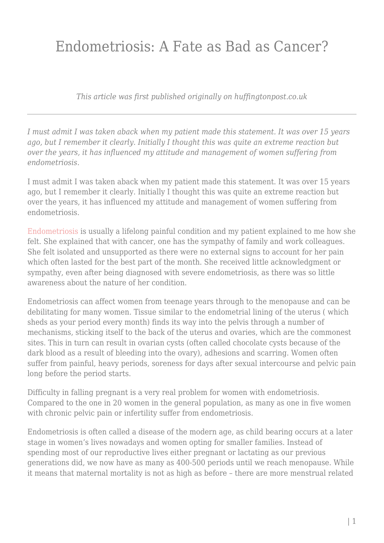## Endometriosis: A Fate as Bad as Cancer?

*This article was first published originally on huffingtonpost.co.uk*

*I must admit I was taken aback when my patient made this statement. It was over 15 years ago, but I remember it clearly. Initially I thought this was quite an extreme reaction but over the years, it has influenced my attitude and management of women suffering from endometriosis.*

I must admit I was taken aback when my patient made this statement. It was over 15 years ago, but I remember it clearly. Initially I thought this was quite an extreme reaction but over the years, it has influenced my attitude and management of women suffering from endometriosis.

[Endometriosis](http://www.womenforwomenshealth.co.uk/endometriosis.html) is usually a lifelong painful condition and my patient explained to me how she felt. She explained that with cancer, one has the sympathy of family and work colleagues. She felt isolated and unsupported as there were no external signs to account for her pain which often lasted for the best part of the month. She received little acknowledgment or sympathy, even after being diagnosed with severe endometriosis, as there was so little awareness about the nature of her condition.

Endometriosis can affect women from teenage years through to the menopause and can be debilitating for many women. Tissue similar to the endometrial lining of the uterus ( which sheds as your period every month) finds its way into the pelvis through a number of mechanisms, sticking itself to the back of the uterus and ovaries, which are the commonest sites. This in turn can result in ovarian cysts (often called chocolate cysts because of the dark blood as a result of bleeding into the ovary), adhesions and scarring. Women often suffer from painful, heavy periods, soreness for days after sexual intercourse and pelvic pain long before the period starts.

Difficulty in falling pregnant is a very real problem for women with endometriosis. Compared to the one in 20 women in the general population, as many as one in five women with chronic pelvic pain or infertility suffer from endometriosis.

Endometriosis is often called a disease of the modern age, as child bearing occurs at a later stage in women's lives nowadays and women opting for smaller families. Instead of spending most of our reproductive lives either pregnant or lactating as our previous generations did, we now have as many as 400-500 periods until we reach menopause. While it means that maternal mortality is not as high as before – there are more menstrual related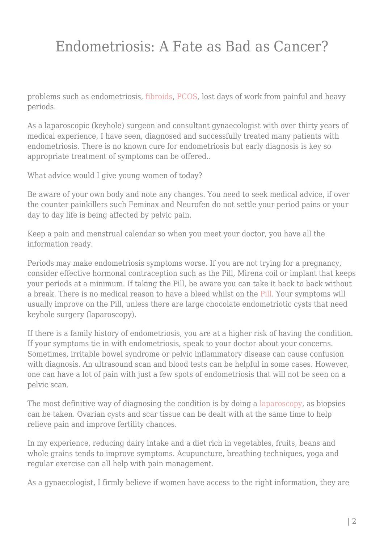## Endometriosis: A Fate as Bad as Cancer?

problems such as endometriosis[, fibroids,](http://www.nhs.uk/Conditions/fibroids/Pages/Introduction.aspx) [PCOS](http://londongynae.co.uk/polycystic-ovary-syndrome), lost days of work from painful and heavy periods.

As a laparoscopic (keyhole) surgeon and consultant gynaecologist with over thirty years of medical experience, I have seen, diagnosed and successfully treated many patients with endometriosis. There is no known cure for endometriosis but early diagnosis is key so appropriate treatment of symptoms can be offered..

What advice would I give young women of today?

Be aware of your own body and note any changes. You need to seek medical advice, if over the counter painkillers such Feminax and Neurofen do not settle your period pains or your day to day life is being affected by pelvic pain.

Keep a pain and menstrual calendar so when you meet your doctor, you have all the information ready.

Periods may make endometriosis symptoms worse. If you are not trying for a pregnancy, consider effective hormonal contraception such as the Pill, Mirena coil or implant that keeps your periods at a minimum. If taking the Pill, be aware you can take it back to back without a break. There is no medical reason to have a bleed whilst on th[e Pill](https://www.huffingtonpost.co.uk/dr-nitu-bajekal/life-without-periods-contraceptive-pill_b_7922080.html). Your symptoms will usually improve on the Pill, unless there are large chocolate endometriotic cysts that need keyhole surgery (laparoscopy).

If there is a family history of endometriosis, you are at a higher risk of having the condition. If your symptoms tie in with endometriosis, speak to your doctor about your concerns. Sometimes, irritable bowel syndrome or pelvic inflammatory disease can cause confusion with diagnosis. An ultrasound scan and blood tests can be helpful in some cases. However, one can have a lot of pain with just a few spots of endometriosis that will not be seen on a pelvic scan.

The most definitive way of diagnosing the condition is by doing a [laparoscopy,](http://nitubajekal.co.uk/laparoscopy) as biopsies can be taken. Ovarian cysts and scar tissue can be dealt with at the same time to help relieve pain and improve fertility chances.

In my experience, reducing dairy intake and a diet rich in vegetables, fruits, beans and whole grains tends to improve symptoms. Acupuncture, breathing techniques, yoga and regular exercise can all help with pain management.

As a gynaecologist, I firmly believe if women have access to the right information, they are